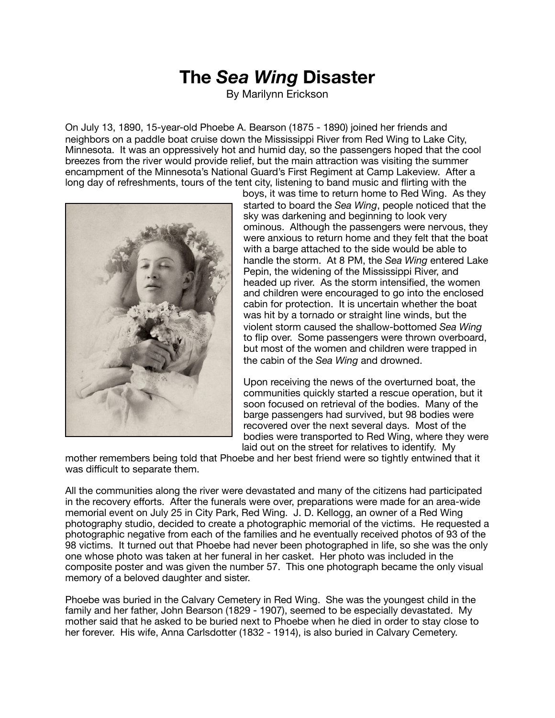## **The** *Sea Wing* **Disaster**

By Marilynn Erickson

On July 13, 1890, 15-year-old Phoebe A. Bearson (1875 - 1890) joined her friends and neighbors on a paddle boat cruise down the Mississippi River from Red Wing to Lake City, Minnesota. It was an oppressively hot and humid day, so the passengers hoped that the cool breezes from the river would provide relief, but the main attraction was visiting the summer encampment of the Minnesota's National Guard's First Regiment at Camp Lakeview. After a long day of refreshments, tours of the tent city, listening to band music and flirting with the



boys, it was time to return home to Red Wing. As they started to board the *Sea Wing*, people noticed that the sky was darkening and beginning to look very ominous. Although the passengers were nervous, they were anxious to return home and they felt that the boat with a barge attached to the side would be able to handle the storm. At 8 PM, the *Sea Wing* entered Lake Pepin, the widening of the Mississippi River, and headed up river. As the storm intensified, the women and children were encouraged to go into the enclosed cabin for protection. It is uncertain whether the boat was hit by a tornado or straight line winds, but the violent storm caused the shallow-bottomed *Sea Wing* to flip over. Some passengers were thrown overboard, but most of the women and children were trapped in the cabin of the *Sea Wing* and drowned.

Upon receiving the news of the overturned boat, the communities quickly started a rescue operation, but it soon focused on retrieval of the bodies. Many of the barge passengers had survived, but 98 bodies were recovered over the next several days. Most of the bodies were transported to Red Wing, where they were laid out on the street for relatives to identify. My

mother remembers being told that Phoebe and her best friend were so tightly entwined that it was difficult to separate them.

All the communities along the river were devastated and many of the citizens had participated in the recovery efforts. After the funerals were over, preparations were made for an area-wide memorial event on July 25 in City Park, Red Wing. J. D. Kellogg, an owner of a Red Wing photography studio, decided to create a photographic memorial of the victims. He requested a photographic negative from each of the families and he eventually received photos of 93 of the 98 victims. It turned out that Phoebe had never been photographed in life, so she was the only one whose photo was taken at her funeral in her casket. Her photo was included in the composite poster and was given the number 57. This one photograph became the only visual memory of a beloved daughter and sister.

Phoebe was buried in the Calvary Cemetery in Red Wing. She was the youngest child in the family and her father, John Bearson (1829 - 1907), seemed to be especially devastated. My mother said that he asked to be buried next to Phoebe when he died in order to stay close to her forever. His wife, Anna Carlsdotter (1832 - 1914), is also buried in Calvary Cemetery.